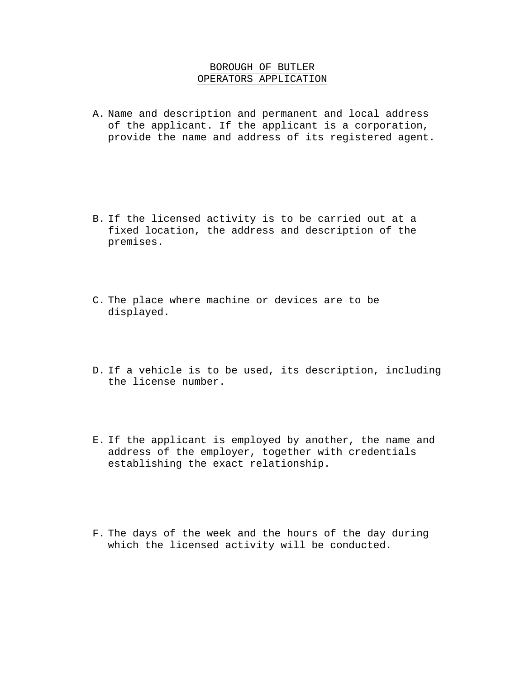## BOROUGH OF BUTLER OPERATORS APPLICATION

A. Name and description and permanent and local address of the applicant. If the applicant is a corporation, provide the name and address of its registered agent.

- B. If the licensed activity is to be carried out at a fixed location, the address and description of the premises.
- C. The place where machine or devices are to be displayed.
- D. If a vehicle is to be used, its description, including the license number.
- E. If the applicant is employed by another, the name and address of the employer, together with credentials establishing the exact relationship.
- F. The days of the week and the hours of the day during which the licensed activity will be conducted.